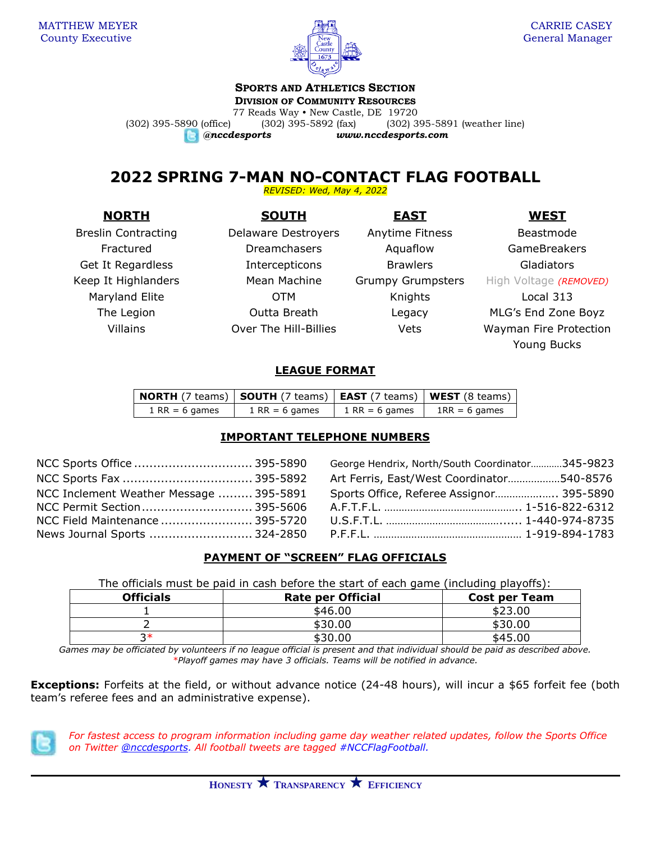

# **SPORTS AND ATHLETICS SECTION**

**DIVISION OF COMMUNITY RESOURCES**

77 Reads Way • New Castle, DE 19720 (302) 395-5890 (office) (302) 395-5892 (fax) (302) 395-5891 (weather line) *@nccdesports www.nccdesports.com*

**2022 SPRING 7-MAN NO-CONTACT FLAG FOOTBALL**

*REVISED: Wed, May 4, 2022*

## **NORTH SOUTH EAST WEST**

Keep It Highlanders **Mean Machine Grumpy Grumpsters** High Voltage *(REMOVED)* 

Breslin Contracting Delaware Destroyers Anytime Fitness Beastmode Fractured **Exercise Dreamchasers** Aquaflow GameBreakers Get It Regardless The Intercepticons Brawlers Brames Gladiators Maryland Elite **COLOGY COLOGY COLOGY** COTM **Knights** Local 313

The Legion Outta Breath Legacy MLG's End Zone Boyz Villains Over The Hill-Billies Vets Wayman Fire Protection Young Bucks

### **LEAGUE FORMAT**

| <b>NORTH</b> (7 teams) <b>SOUTH</b> (7 teams) <b>EAST</b> (7 teams) <b>WEST</b> (8 teams) |                  |                  |                 |
|-------------------------------------------------------------------------------------------|------------------|------------------|-----------------|
| $1$ RR = 6 games                                                                          | $1$ RR = 6 games | $1$ RR = 6 games | $1RR = 6$ games |

### **IMPORTANT TELEPHONE NUMBERS**

| NCC Inclement Weather Message  395-5891 |  |
|-----------------------------------------|--|
|                                         |  |
| NCC Field Maintenance  395-5720         |  |
| News Journal Sports  324-2850           |  |

George Hendrix, North/South Coordinator............345-9823 Art Ferris, East/West Coordinator..................540-8576 Sports Office, Referee Assignor..................... 395-5890 A.F.T.F.L. ………………………………………… 1-516-822-6312 U.S.F.T.L. ……………………………………… 1-440-974-8735 P.F.F.L. …………………………………………… 1-919-894-1783

## **PAYMENT OF "SCREEN" FLAG OFFICIALS**

The officials must be paid in cash before the start of each game (including playoffs):

| <b>Officials</b> | <b>Rate per Official</b> | <b>Cost per Team</b> |
|------------------|--------------------------|----------------------|
|                  | \$46.00                  | \$23.00              |
|                  | \$30.00                  | \$30.00              |
| つ*               | \$30.00                  | \$45.00              |

*Games may be officiated by volunteers if no league official is present and that individual should be paid as described above. \*Playoff games may have 3 officials. Teams will be notified in advance.*

**Exceptions:** Forfeits at the field, or without advance notice (24-48 hours), will incur a \$65 forfeit fee (both team's referee fees and an administrative expense).



*For fastest access to program information including game day weather related updates, follow the Sports Office on Twitter [@nccdesports.](http://www.twitter.com/nccdesports) All football tweets are tagged #NCCFlagFootball.*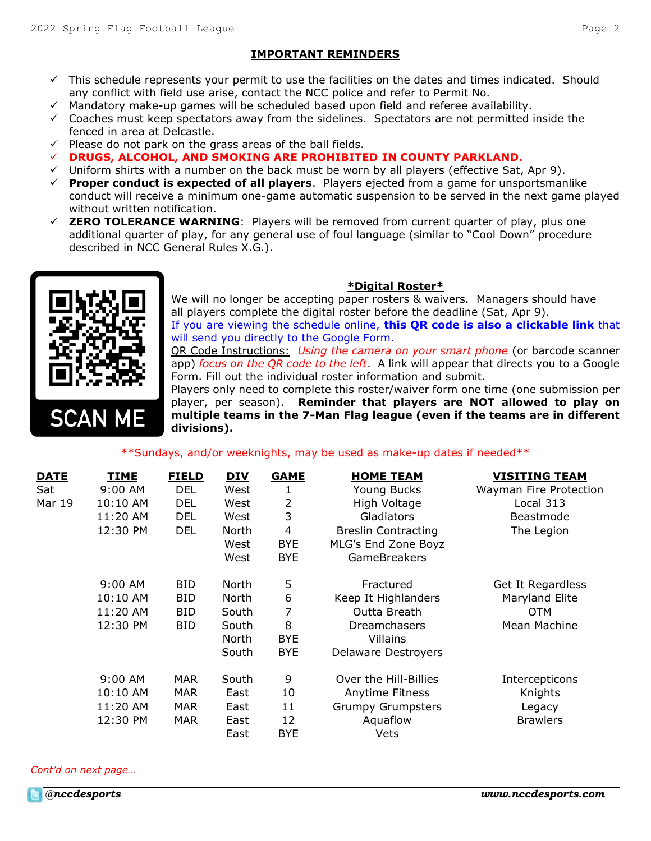#### **IMPORTANT REMINDERS**

- ✓ This schedule represents your permit to use the facilities on the dates and times indicated. Should any conflict with field use arise, contact the NCC police and refer to Permit No.
- ✓ Mandatory make-up games will be scheduled based upon field and referee availability.
- ✓ Coaches must keep spectators away from the sidelines. Spectators are not permitted inside the fenced in area at Delcastle.
- $\checkmark$  Please do not park on the grass areas of the ball fields.
- ✓ **DRUGS, ALCOHOL, AND SMOKING ARE PROHIBITED IN COUNTY PARKLAND.**
- $\checkmark$  Uniform shirts with a number on the back must be worn by all players (effective Sat, Apr 9).
- ✓ **Proper conduct is expected of all players**. Players ejected from a game for unsportsmanlike conduct will receive a minimum one-game automatic suspension to be served in the next game played without written notification.
- **ZERO TOLERANCE WARNING:** Players will be removed from current quarter of play, plus one additional quarter of play, for any general use of foul language (similar to "Cool Down" procedure described in NCC General Rules X.G.).



#### **\*Digital Roster\***

We will no longer be accepting paper rosters & waivers. Managers should have all players complete the digital roster before the deadline (Sat, Apr 9). If you are viewing the schedule online, **this QR code is also a clickable link** that will send you directly to the Google Form.

QR Code Instructions: *Using the camera on your smart phone* (or barcode scanner app) *focus on the QR code to the left*. A link will appear that directs you to a Google Form. Fill out the individual roster information and submit.

Players only need to complete this roster/waiver form one time (one submission per player, per season). **Reminder that players are NOT allowed to play on multiple teams in the 7-Man Flag league (even if the teams are in different divisions).**

#### \*\*Sundays, and/or weeknights, may be used as make-up dates if needed\*\*

| <b>DATE</b>   | TIME      | <b>FIELD</b> | <b>DIV</b> | <b>GAME</b>    | <b>HOME TEAM</b>           | <b>VISITING TEAM</b>   |
|---------------|-----------|--------------|------------|----------------|----------------------------|------------------------|
| Sat           | 9:00 AM   | <b>DEL</b>   | West       | 1              | Young Bucks                | Wayman Fire Protection |
| <b>Mar 19</b> | 10:10 AM  | <b>DEL</b>   | West       | 2              | High Voltage               | Local 313              |
|               | 11:20 AM  | DEL          | West       | 3              | Gladiators                 | Beastmode              |
|               | 12:30 PM  | DEL          | North      | $\overline{4}$ | <b>Breslin Contracting</b> | The Legion             |
|               |           |              | West       | <b>BYE</b>     | MLG's End Zone Boyz        |                        |
|               |           |              | West       | <b>BYE</b>     | <b>GameBreakers</b>        |                        |
|               | $9:00$ AM | BID.         | North      | 5              | Fractured                  | Get It Regardless      |
|               | 10:10 AM  | BID          | North      | 6              | Keep It Highlanders        | Maryland Elite         |
|               | 11:20 AM  | BID.         | South      | 7              | Outta Breath               | <b>OTM</b>             |
|               | 12:30 PM  | BID.         | South      | 8              | Dreamchasers               | Mean Machine           |
|               |           |              | North      | <b>BYE</b>     | <b>Villains</b>            |                        |
|               |           |              | South      | <b>BYE</b>     | Delaware Destroyers        |                        |
|               | 9:00 AM   | <b>MAR</b>   | South      | 9              | Over the Hill-Billies      | Intercepticons         |
|               | 10:10 AM  | MAR.         | East       | 10             | Anytime Fitness            | Knights                |
|               | 11:20 AM  | <b>MAR</b>   | East       | 11             | <b>Grumpy Grumpsters</b>   | Legacy                 |
|               | 12:30 PM  | <b>MAR</b>   | East       | 12             | Aquaflow                   | <b>Brawlers</b>        |
|               |           |              | East       | <b>BYE</b>     | Vets                       |                        |

*Cont'd on next page…*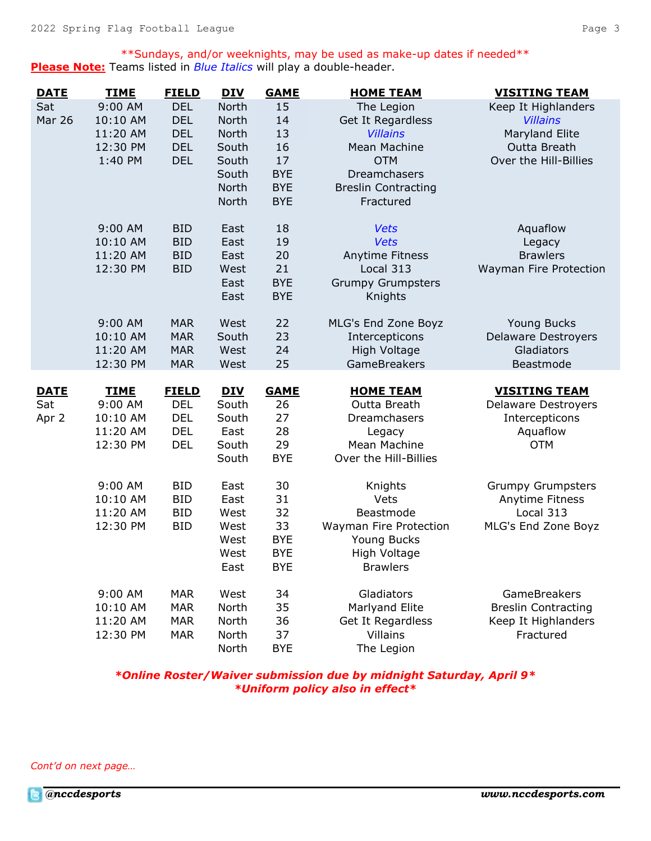\*\*Sundays, and/or weeknights, may be used as make-up dates if needed\*\* **Please Note:** Teams listed in *Blue Italics* will play a double-header.

| <b>DATE</b>   | <b>TIME</b> | <b>FIELD</b> | <b>DIV</b> | <b>GAME</b> | <b>HOME TEAM</b>           | <b>VISITING TEAM</b>       |
|---------------|-------------|--------------|------------|-------------|----------------------------|----------------------------|
| Sat           | 9:00 AM     | <b>DEL</b>   | North      | 15          | The Legion                 | Keep It Highlanders        |
| <b>Mar 26</b> | 10:10 AM    | <b>DEL</b>   | North      | 14          | Get It Regardless          | <b>Villains</b>            |
|               | 11:20 AM    | <b>DEL</b>   | North      | 13          | <b>Villains</b>            | Maryland Elite             |
|               | 12:30 PM    | <b>DEL</b>   | South      | 16          | <b>Mean Machine</b>        | Outta Breath               |
|               | 1:40 PM     | <b>DEL</b>   | South      | 17          | <b>OTM</b>                 | Over the Hill-Billies      |
|               |             |              | South      | <b>BYE</b>  | Dreamchasers               |                            |
|               |             |              | North      | <b>BYE</b>  | <b>Breslin Contracting</b> |                            |
|               |             |              | North      | <b>BYE</b>  | Fractured                  |                            |
|               | 9:00 AM     | <b>BID</b>   | East       | 18          | <b>Vets</b>                | Aquaflow                   |
|               | 10:10 AM    | <b>BID</b>   | East       | 19          | <b>Vets</b>                | Legacy                     |
|               | 11:20 AM    | <b>BID</b>   | East       | 20          | Anytime Fitness            | <b>Brawlers</b>            |
|               | 12:30 PM    | <b>BID</b>   | West       | 21          | Local 313                  | Wayman Fire Protection     |
|               |             |              | East       | <b>BYE</b>  | <b>Grumpy Grumpsters</b>   |                            |
|               |             |              | East       | <b>BYE</b>  | Knights                    |                            |
|               | 9:00 AM     | <b>MAR</b>   | West       | 22          | MLG's End Zone Boyz        | Young Bucks                |
|               | 10:10 AM    | <b>MAR</b>   | South      | 23          | Intercepticons             | <b>Delaware Destroyers</b> |
|               | 11:20 AM    | <b>MAR</b>   | West       | 24          | <b>High Voltage</b>        | Gladiators                 |
|               | 12:30 PM    | <b>MAR</b>   | West       | 25          | GameBreakers               | Beastmode                  |
| <b>DATE</b>   | <b>TIME</b> | <b>FIELD</b> | <b>DIV</b> | <b>GAME</b> | <b>HOME TEAM</b>           | <b>VISITING TEAM</b>       |
| Sat           | 9:00 AM     | <b>DEL</b>   | South      | 26          | Outta Breath               | <b>Delaware Destroyers</b> |
| Apr 2         | 10:10 AM    | <b>DEL</b>   | South      | 27          | Dreamchasers               | Intercepticons             |
|               | 11:20 AM    | <b>DEL</b>   | East       | 28          | Legacy                     | Aquaflow                   |
|               | 12:30 PM    | <b>DEL</b>   | South      | 29          | Mean Machine               | <b>OTM</b>                 |
|               |             |              | South      | <b>BYE</b>  | Over the Hill-Billies      |                            |
|               | 9:00 AM     | <b>BID</b>   | East       | 30          | Knights                    | <b>Grumpy Grumpsters</b>   |
|               | 10:10 AM    | <b>BID</b>   | East       | 31          | Vets                       | Anytime Fitness            |
|               | 11:20 AM    | <b>BID</b>   | West       | 32          | Beastmode                  | Local 313                  |
|               | 12:30 PM    | <b>BID</b>   | West       | 33          | Wayman Fire Protection     | MLG's End Zone Boyz        |
|               |             |              | West       | <b>BYE</b>  | Young Bucks                |                            |
|               |             |              | West       | <b>BYE</b>  | High Voltage               |                            |
|               |             |              | East       | <b>BYE</b>  | <b>Brawlers</b>            |                            |
|               | 9:00 AM     | <b>MAR</b>   | West       | 34          | Gladiators                 | GameBreakers               |
|               | 10:10 AM    | <b>MAR</b>   | North      | 35          | Marlyand Elite             | <b>Breslin Contracting</b> |
|               | 11:20 AM    | <b>MAR</b>   | North      | 36          | Get It Regardless          | Keep It Highlanders        |
|               | 12:30 PM    | <b>MAR</b>   | North      | 37          | Villains                   | Fractured                  |
|               |             |              | North      | <b>BYE</b>  | The Legion                 |                            |

*\*Online Roster/Waiver submission due by midnight Saturday, April 9\* \*Uniform policy also in effect\**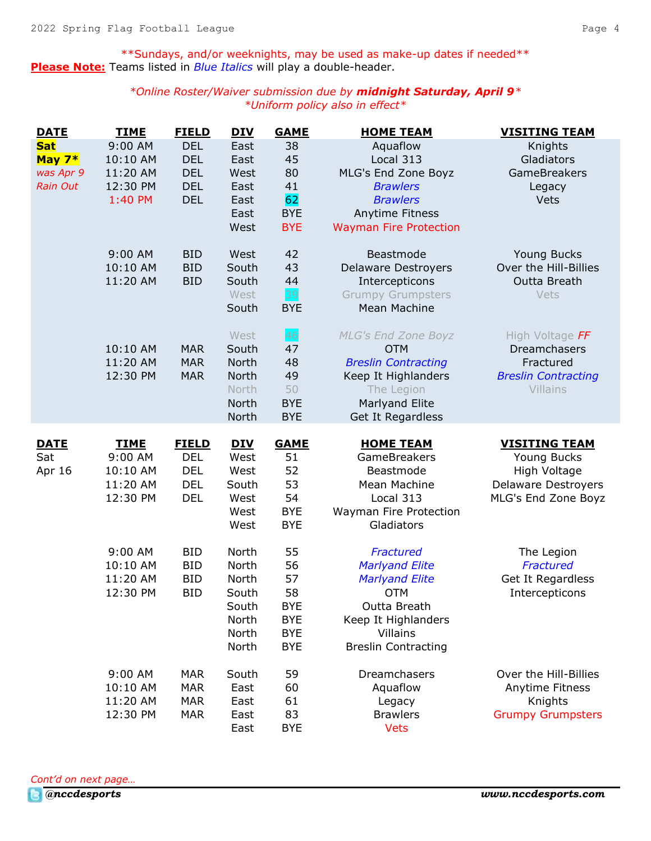\*\*Sundays, and/or weeknights, may be used as make-up dates if needed\*\* **Please Note:** Teams listed in *Blue Italics* will play a double-header.

> *\*Online Roster/Waiver submission due by midnight Saturday, April 9\* \*Uniform policy also in effect\**

| <b>DATE</b>     | <b>TIME</b> | <b>FIELD</b> | <b>DIV</b>   | <b>GAME</b>      | <b>HOME TEAM</b>               | <b>VISITING TEAM</b>       |
|-----------------|-------------|--------------|--------------|------------------|--------------------------------|----------------------------|
| <b>Sat</b>      | 9:00 AM     | <b>DEL</b>   | East         | 38               | Aquaflow                       | Knights                    |
| May $7*$        | 10:10 AM    | <b>DEL</b>   | East         | 45               | Local 313                      | Gladiators                 |
| was Apr 9       | 11:20 AM    | <b>DEL</b>   | West         | 80               | MLG's End Zone Boyz            | <b>GameBreakers</b>        |
| <b>Rain Out</b> | 12:30 PM    | <b>DEL</b>   | East         | 41               | <b>Brawlers</b>                | Legacy                     |
|                 | 1:40 PM     | <b>DEL</b>   | East         | 62               | <b>Brawlers</b>                | Vets                       |
|                 |             |              | East         | <b>BYE</b>       | Anytime Fitness                |                            |
|                 |             |              | West         | <b>BYE</b>       | <b>Wayman Fire Protection</b>  |                            |
|                 | 9:00 AM     | <b>BID</b>   | West         | 42               | Beastmode                      | <b>Young Bucks</b>         |
|                 | 10:10 AM    | <b>BID</b>   | South        | 43               | <b>Delaware Destroyers</b>     | Over the Hill-Billies      |
|                 | 11:20 AM    | <b>BID</b>   | South        | 44               | Intercepticons                 | Outta Breath               |
|                 |             |              | West         | 39               | <b>Grumpy Grumpsters</b>       | Vets                       |
|                 |             |              | South        | <b>BYE</b>       | Mean Machine                   |                            |
|                 |             |              | West         | 46               | <b>MLG's End Zone Boyz</b>     | High Voltage FF            |
|                 | 10:10 AM    | <b>MAR</b>   | South        | 47               | <b>OTM</b>                     | Dreamchasers               |
|                 | 11:20 AM    | <b>MAR</b>   | North        | 48               | <b>Breslin Contracting</b>     | Fractured                  |
|                 | 12:30 PM    | <b>MAR</b>   | North        | 49               | Keep It Highlanders            | <b>Breslin Contracting</b> |
|                 |             |              | North        | 50               | The Legion                     | Villains                   |
|                 |             |              | North        | <b>BYE</b>       | Marlyand Elite                 |                            |
|                 |             |              | North        | <b>BYE</b>       | Get It Regardless              |                            |
| <b>DATE</b>     | <b>TIME</b> | <b>FIELD</b> | <b>DIV</b>   | <b>GAME</b>      | <b>HOME TEAM</b>               | <b>VISITING TEAM</b>       |
| Sat             | 9:00 AM     | <b>DEL</b>   | West         | 51               | GameBreakers                   | <b>Young Bucks</b>         |
| Apr 16          | 10:10 AM    | <b>DEL</b>   | West         | 52               | Beastmode                      | High Voltage               |
|                 | 11:20 AM    | <b>DEL</b>   | South        | 53               | Mean Machine                   | <b>Delaware Destroyers</b> |
|                 | 12:30 PM    | <b>DEL</b>   | West         | 54               | Local 313                      | MLG's End Zone Boyz        |
|                 |             |              | West         | <b>BYE</b>       |                                |                            |
|                 |             |              |              |                  | Wayman Fire Protection         |                            |
|                 |             |              | West         | <b>BYE</b>       | Gladiators                     |                            |
|                 | 9:00 AM     | <b>BID</b>   | North        | 55               | Fractured                      | The Legion                 |
|                 | 10:10 AM    | <b>BID</b>   | North        | 56               | <b>Marlyand Elite</b>          | Fractured                  |
|                 | 11:20 AM    | <b>BID</b>   | North        | 57               | <b>Marlyand Elite</b>          | Get It Regardless          |
|                 | 12:30 PM    | <b>BID</b>   | South        | 58               | <b>OTM</b>                     | Intercepticons             |
|                 |             |              | South        | <b>BYE</b>       | Outta Breath                   |                            |
|                 |             |              | North        | <b>BYE</b>       | Keep It Highlanders            |                            |
|                 |             |              | North        | <b>BYE</b>       | <b>Villains</b>                |                            |
|                 |             |              | North        | <b>BYE</b>       | <b>Breslin Contracting</b>     |                            |
|                 | 9:00 AM     | <b>MAR</b>   | South        | 59               | Dreamchasers                   | Over the Hill-Billies      |
|                 | 10:10 AM    | <b>MAR</b>   | East         | 60               | Aquaflow                       | Anytime Fitness            |
|                 | 11:20 AM    | <b>MAR</b>   | East         | 61               | Legacy                         | Knights                    |
|                 | 12:30 PM    | <b>MAR</b>   | East<br>East | 83<br><b>BYE</b> | <b>Brawlers</b><br><b>Vets</b> | <b>Grumpy Grumpsters</b>   |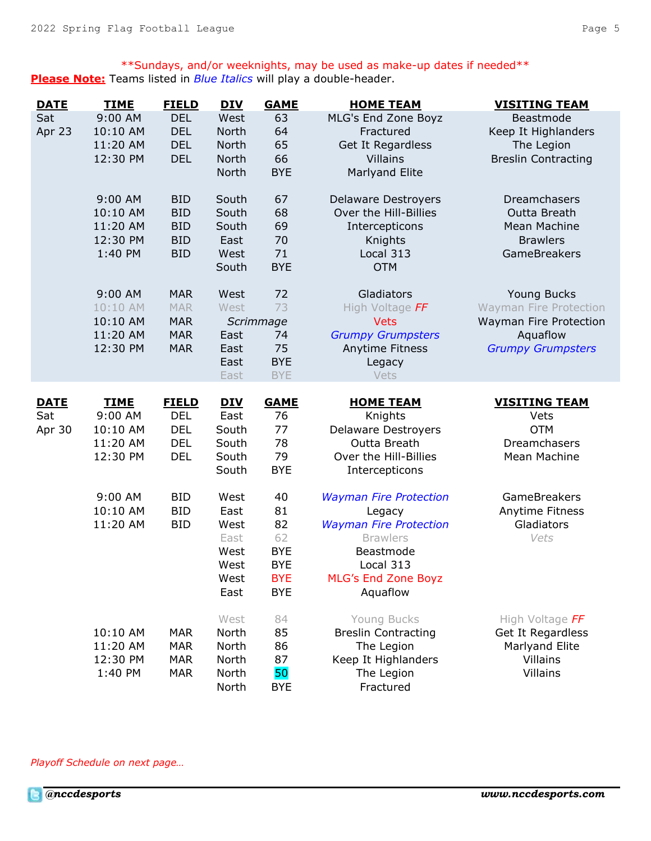\*\*Sundays, and/or weeknights, may be used as make-up dates if needed\*\* **Please Note:** Teams listed in *Blue Italics* will play a double-header.

| <b>DATE</b> | <b>TIME</b> | <b>FIELD</b> | <b>DIV</b> | <b>GAME</b> | <b>HOME TEAM</b>              | <b>VISITING TEAM</b>          |
|-------------|-------------|--------------|------------|-------------|-------------------------------|-------------------------------|
| Sat         | 9:00 AM     | <b>DEL</b>   | West       | 63          | MLG's End Zone Boyz           | Beastmode                     |
| Apr 23      | 10:10 AM    | <b>DEL</b>   | North      | 64          | Fractured                     | Keep It Highlanders           |
|             | 11:20 AM    | <b>DEL</b>   | North      | 65          | Get It Regardless             | The Legion                    |
|             | 12:30 PM    | <b>DEL</b>   | North      | 66          | <b>Villains</b>               | <b>Breslin Contracting</b>    |
|             |             |              | North      | <b>BYE</b>  | <b>Marlyand Elite</b>         |                               |
|             | 9:00 AM     | <b>BID</b>   | South      | 67          | <b>Delaware Destroyers</b>    | Dreamchasers                  |
|             | 10:10 AM    | <b>BID</b>   | South      | 68          | Over the Hill-Billies         | Outta Breath                  |
|             | 11:20 AM    | <b>BID</b>   | South      | 69          | Intercepticons                | <b>Mean Machine</b>           |
|             | 12:30 PM    | <b>BID</b>   | East       | 70          | Knights                       | <b>Brawlers</b>               |
|             | 1:40 PM     | <b>BID</b>   | West       | 71          | Local 313                     | GameBreakers                  |
|             |             |              | South      | <b>BYE</b>  | <b>OTM</b>                    |                               |
|             | 9:00 AM     | <b>MAR</b>   | West       | 72          | Gladiators                    | Young Bucks                   |
|             | 10:10 AM    | <b>MAR</b>   | West       | 73          | High Voltage FF               | <b>Wayman Fire Protection</b> |
|             | 10:10 AM    | <b>MAR</b>   |            | Scrimmage   | <b>Vets</b>                   | Wayman Fire Protection        |
|             | 11:20 AM    | <b>MAR</b>   | East       | 74          | <b>Grumpy Grumpsters</b>      | Aquaflow                      |
|             | 12:30 PM    | <b>MAR</b>   | East       | 75          | <b>Anytime Fitness</b>        | <b>Grumpy Grumpsters</b>      |
|             |             |              | East       | <b>BYE</b>  | Legacy                        |                               |
|             |             |              | East       | <b>BYE</b>  | Vets                          |                               |
| <b>DATE</b> | <b>TIME</b> | <b>FIELD</b> | <b>DIV</b> | <b>GAME</b> | <b>HOME TEAM</b>              | <b>VISITING TEAM</b>          |
| Sat         | 9:00 AM     | <b>DEL</b>   | East       | 76          | Knights                       | Vets                          |
| Apr 30      | 10:10 AM    | <b>DEL</b>   | South      | 77          | <b>Delaware Destroyers</b>    | <b>OTM</b>                    |
|             | 11:20 AM    | <b>DEL</b>   | South      | 78          | Outta Breath                  | Dreamchasers                  |
|             | 12:30 PM    | <b>DEL</b>   | South      | 79          | Over the Hill-Billies         | Mean Machine                  |
|             |             |              | South      | <b>BYE</b>  | Intercepticons                |                               |
|             | 9:00 AM     | <b>BID</b>   | West       | 40          | <b>Wayman Fire Protection</b> | <b>GameBreakers</b>           |
|             | 10:10 AM    | <b>BID</b>   | East       | 81          | Legacy                        | Anytime Fitness               |
|             | 11:20 AM    | <b>BID</b>   | West       | 82          | <b>Wayman Fire Protection</b> | Gladiators                    |
|             |             |              | East       | 62          | <b>Brawlers</b>               | Vets                          |
|             |             |              | West       | <b>BYE</b>  | Beastmode                     |                               |
|             |             |              | West       | <b>BYE</b>  | Local 313                     |                               |
|             |             |              | West       | <b>BYE</b>  | <b>MLG's End Zone Boyz</b>    |                               |
|             |             |              | East       | <b>BYE</b>  | Aquaflow                      |                               |
|             |             |              | West       | 84          | Young Bucks                   | High Voltage FF               |
|             | 10:10 AM    | <b>MAR</b>   | North      | 85          | <b>Breslin Contracting</b>    | Get It Regardless             |
|             | 11:20 AM    | <b>MAR</b>   | North      | 86          | The Legion                    | Marlyand Elite                |
|             | 12:30 PM    | <b>MAR</b>   | North      | 87          | Keep It Highlanders           | Villains                      |
|             | 1:40 PM     | <b>MAR</b>   | North      | 50          | The Legion                    | Villains                      |
|             |             |              | North      | <b>BYE</b>  | Fractured                     |                               |

*Playoff Schedule on next page…*